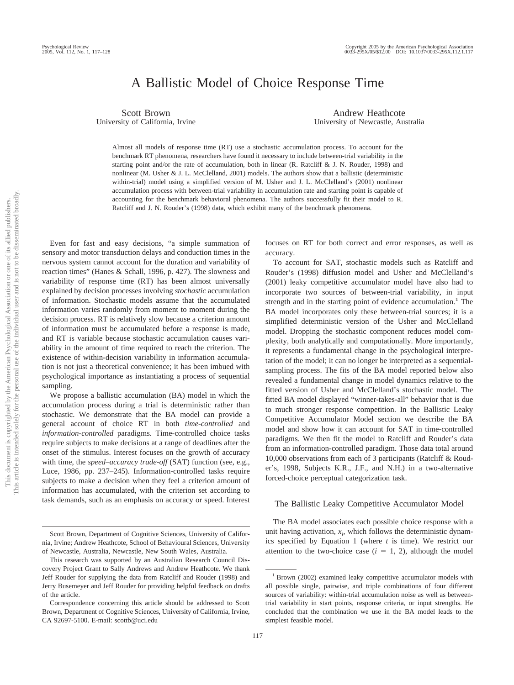# A Ballistic Model of Choice Response Time

Scott Brown University of California, Irvine

Andrew Heathcote University of Newcastle, Australia

Almost all models of response time (RT) use a stochastic accumulation process. To account for the benchmark RT phenomena, researchers have found it necessary to include between-trial variability in the starting point and/or the rate of accumulation, both in linear (R. Ratcliff & J. N. Rouder, 1998) and nonlinear (M. Usher & J. L. McClelland, 2001) models. The authors show that a ballistic (deterministic within-trial) model using a simplified version of M. Usher and J. L. McClelland's (2001) nonlinear accumulation process with between-trial variability in accumulation rate and starting point is capable of accounting for the benchmark behavioral phenomena. The authors successfully fit their model to R. Ratcliff and J. N. Rouder's (1998) data, which exhibit many of the benchmark phenomena.

Even for fast and easy decisions, "a simple summation of sensory and motor transduction delays and conduction times in the nervous system cannot account for the duration and variability of reaction times" (Hanes & Schall, 1996, p. 427). The slowness and variability of response time (RT) has been almost universally explained by decision processes involving *stochastic* accumulation of information. Stochastic models assume that the accumulated information varies randomly from moment to moment during the decision process. RT is relatively slow because a criterion amount of information must be accumulated before a response is made, and RT is variable because stochastic accumulation causes variability in the amount of time required to reach the criterion. The existence of within-decision variability in information accumulation is not just a theoretical convenience; it has been imbued with psychological importance as instantiating a process of sequential sampling.

We propose a ballistic accumulation (BA) model in which the accumulation process during a trial is deterministic rather than stochastic. We demonstrate that the BA model can provide a general account of choice RT in both *time-controlled* and *information-controlled* paradigms. Time-controlled choice tasks require subjects to make decisions at a range of deadlines after the onset of the stimulus. Interest focuses on the growth of accuracy with time, the *speed–accuracy trade-off* (SAT) function (see, e.g., Luce, 1986, pp. 237–245). Information-controlled tasks require subjects to make a decision when they feel a criterion amount of information has accumulated, with the criterion set according to task demands, such as an emphasis on accuracy or speed. Interest focuses on RT for both correct and error responses, as well as accuracy.

To account for SAT, stochastic models such as Ratcliff and Rouder's (1998) diffusion model and Usher and McClelland's (2001) leaky competitive accumulator model have also had to incorporate two sources of between-trial variability, in input strength and in the starting point of evidence accumulation.<sup>1</sup> The BA model incorporates only these between-trial sources; it is a simplified deterministic version of the Usher and McClelland model. Dropping the stochastic component reduces model complexity, both analytically and computationally. More importantly, it represents a fundamental change in the psychological interpretation of the model; it can no longer be interpreted as a sequentialsampling process. The fits of the BA model reported below also revealed a fundamental change in model dynamics relative to the fitted version of Usher and McClelland's stochastic model. The fitted BA model displayed "winner-takes-all" behavior that is due to much stronger response competition. In the Ballistic Leaky Competitive Accumulator Model section we describe the BA model and show how it can account for SAT in time-controlled paradigms. We then fit the model to Ratcliff and Rouder's data from an information-controlled paradigm. Those data total around 10,000 observations from each of 3 participants (Ratcliff & Rouder's, 1998, Subjects K.R., J.F., and N.H.) in a two-alternative forced-choice perceptual categorization task.

#### The Ballistic Leaky Competitive Accumulator Model

The BA model associates each possible choice response with a unit having activation,  $x_i$ , which follows the deterministic dynamics specified by Equation 1 (where *t* is time). We restrict our attention to the two-choice case  $(i = 1, 2)$ , although the model

Scott Brown, Department of Cognitive Sciences, University of California, Irvine; Andrew Heathcote, School of Behavioural Sciences, University of Newcastle, Australia, Newcastle, New South Wales, Australia.

This research was supported by an Australian Research Council Discovery Project Grant to Sally Andrews and Andrew Heathcote. We thank Jeff Rouder for supplying the data from Ratcliff and Rouder (1998) and Jerry Busemeyer and Jeff Rouder for providing helpful feedback on drafts of the article.

Correspondence concerning this article should be addressed to Scott Brown, Department of Cognitive Sciences, University of California, Irvine, CA 92697-5100. E-mail: scottb@uci.edu

<sup>1</sup> Brown (2002) examined leaky competitive accumulator models with all possible single, pairwise, and triple combinations of four different sources of variability: within-trial accumulation noise as well as betweentrial variability in start points, response criteria, or input strengths. He concluded that the combination we use in the BA model leads to the simplest feasible model.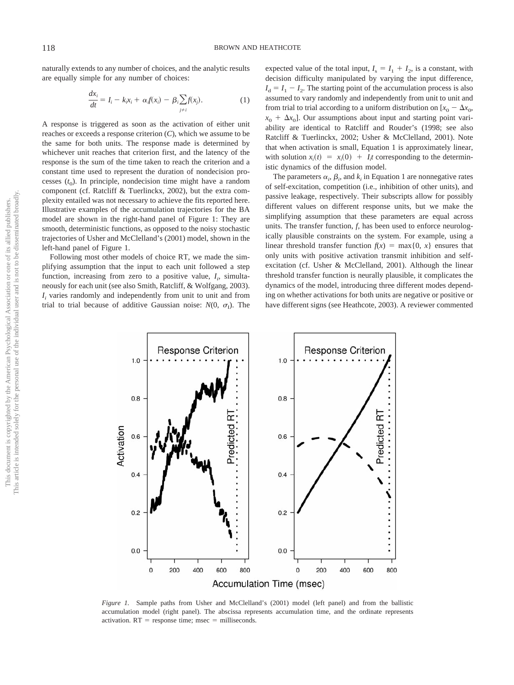naturally extends to any number of choices, and the analytic results are equally simple for any number of choices:

$$
\frac{dx_i}{dt} = I_i - k_i x_i + \alpha_i f(x_i) - \beta_i \sum_{j \neq i} f(x_j).
$$
 (1)

A response is triggered as soon as the activation of either unit reaches or exceeds a response criterion (*C*), which we assume to be the same for both units. The response made is determined by whichever unit reaches that criterion first, and the latency of the response is the sum of the time taken to reach the criterion and a constant time used to represent the duration of nondecision processes  $(t_0)$ . In principle, nondecision time might have a random component (cf. Ratcliff & Tuerlinckx, 2002), but the extra complexity entailed was not necessary to achieve the fits reported here. Illustrative examples of the accumulation trajectories for the BA model are shown in the right-hand panel of Figure 1: They are smooth, deterministic functions, as opposed to the noisy stochastic trajectories of Usher and McClelland's (2001) model, shown in the left-hand panel of Figure 1.

Following most other models of choice RT, we made the simplifying assumption that the input to each unit followed a step function, increasing from zero to a positive value,  $I_i$ , simultaneously for each unit (see also Smith, Ratcliff, & Wolfgang, 2003).  $I_i$  varies randomly and independently from unit to unit and from trial to trial because of additive Gaussian noise:  $N(0, \sigma_1)$ . The

expected value of the total input,  $I_s = I_1 + I_2$ , is a constant, with decision difficulty manipulated by varying the input difference,  $I<sub>d</sub> = I<sub>1</sub> - I<sub>2</sub>$ . The starting point of the accumulation process is also assumed to vary randomly and independently from unit to unit and from trial to trial according to a uniform distribution on  $[x_0 - \Delta x_0,$  $x_0 + \Delta x_0$ ]. Our assumptions about input and starting point variability are identical to Ratcliff and Rouder's (1998; see also Ratcliff & Tuerlinckx, 2002; Usher & McClelland, 2001). Note that when activation is small, Equation 1 is approximately linear, with solution  $x_i(t) = x_i(0) + I_i t$  corresponding to the deterministic dynamics of the diffusion model.

The parameters  $\alpha_i$ ,  $\beta_i$ , and  $k_i$  in Equation 1 are nonnegative rates of self-excitation, competition (i.e., inhibition of other units), and passive leakage, respectively. Their subscripts allow for possibly different values on different response units, but we make the simplifying assumption that these parameters are equal across units. The transfer function, *f,* has been used to enforce neurologically plausible constraints on the system. For example, using a linear threshold transfer function  $f(x) = \max\{0, x\}$  ensures that only units with positive activation transmit inhibition and selfexcitation (cf. Usher & McClelland, 2001). Although the linear threshold transfer function is neurally plausible, it complicates the dynamics of the model, introducing three different modes depending on whether activations for both units are negative or positive or have different signs (see Heathcote, 2003). A reviewer commented



*Figure 1.* Sample paths from Usher and McClelland's (2001) model (left panel) and from the ballistic accumulation model (right panel). The abscissa represents accumulation time, and the ordinate represents activation.  $RT$  = response time; msec = milliseconds.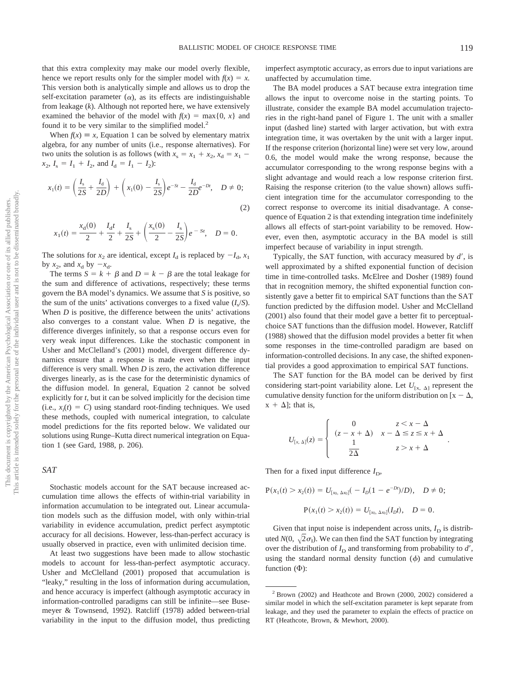that this extra complexity may make our model overly flexible, hence we report results only for the simpler model with  $f(x) = x$ . This version both is analytically simple and allows us to drop the self-excitation parameter  $(\alpha)$ , as its effects are indistinguishable from leakage (*k*). Although not reported here, we have extensively examined the behavior of the model with  $f(x) = \max\{0, x\}$  and found it to be very similar to the simplified model.<sup>2</sup>

When  $f(x) \equiv x$ , Equation 1 can be solved by elementary matrix algebra, for any number of units (i.e., response alternatives). For two units the solution is as follows (with  $x_s = x_1 + x_2$ ,  $x_d = x_1$  $x_2$ ,  $I_s = I_1 + I_2$ , and  $I_d = I_1 - I_2$ :

$$
x_1(t) = \left(\frac{I_s}{2S} + \frac{I_d}{2D}\right) + \left(x_1(0) - \frac{I_s}{2S}\right)e^{-St} - \frac{I_d}{2D}e^{-Dt}, \quad D \neq 0;
$$
\n(2)

$$
x_1(t) = \frac{x_d(0)}{2} + \frac{I_d t}{2} + \frac{I_s}{2S} + \left(\frac{x_s(0)}{2} - \frac{I_s}{2S}\right)e^{-St}, \quad D = 0.
$$

The solutions for  $x_2$  are identical, except  $I_d$  is replaced by  $-I_d$ ,  $x_1$ by  $x_2$ , and  $x_d$  by  $-x_d$ .

The terms  $S = k + \beta$  and  $D = k - \beta$  are the total leakage for the sum and difference of activations, respectively; these terms govern the BA model's dynamics. We assume that *S* is positive, so the sum of the units' activations converges to a fixed value  $(I_s/S)$ . When *D* is positive, the difference between the units' activations also converges to a constant value. When *D* is negative, the difference diverges infinitely, so that a response occurs even for very weak input differences. Like the stochastic component in Usher and McClelland's (2001) model, divergent difference dynamics ensure that a response is made even when the input difference is very small. When *D* is zero, the activation difference diverges linearly, as is the case for the deterministic dynamics of the diffusion model. In general, Equation 2 cannot be solved explicitly for *t,* but it can be solved implicitly for the decision time  $(i.e.,  $x_i(t) = C$ ) using standard root-finding techniques. We used$ these methods, coupled with numerical integration, to calculate model predictions for the fits reported below. We validated our solutions using Runge–Kutta direct numerical integration on Equation 1 (see Gard, 1988, p. 206).

## *SAT*

Stochastic models account for the SAT because increased accumulation time allows the effects of within-trial variability in information accumulation to be integrated out. Linear accumulation models such as the diffusion model, with only within-trial variability in evidence accumulation, predict perfect asymptotic accuracy for all decisions. However, less-than-perfect accuracy is usually observed in practice, even with unlimited decision time.

At least two suggestions have been made to allow stochastic models to account for less-than-perfect asymptotic accuracy. Usher and McClelland (2001) proposed that accumulation is "leaky," resulting in the loss of information during accumulation, and hence accuracy is imperfect (although asymptotic accuracy in information-controlled paradigms can still be infinite—see Busemeyer & Townsend, 1992). Ratcliff (1978) added between-trial variability in the input to the diffusion model, thus predicting imperfect asymptotic accuracy, as errors due to input variations are unaffected by accumulation time.

The BA model produces a SAT because extra integration time allows the input to overcome noise in the starting points. To illustrate, consider the example BA model accumulation trajectories in the right-hand panel of Figure 1. The unit with a smaller input (dashed line) started with larger activation, but with extra integration time, it was overtaken by the unit with a larger input. If the response criterion (horizontal line) were set very low, around 0.6, the model would make the wrong response, because the accumulator corresponding to the wrong response begins with a slight advantage and would reach a low response criterion first. Raising the response criterion (to the value shown) allows sufficient integration time for the accumulator corresponding to the correct response to overcome its initial disadvantage. A consequence of Equation 2 is that extending integration time indefinitely allows all effects of start-point variability to be removed. However, even then, asymptotic accuracy in the BA model is still imperfect because of variability in input strength.

Typically, the SAT function, with accuracy measured by  $d'$ , is well approximated by a shifted exponential function of decision time in time-controlled tasks. McElree and Dosher (1989) found that in recognition memory, the shifted exponential function consistently gave a better fit to empirical SAT functions than the SAT function predicted by the diffusion model. Usher and McClelland (2001) also found that their model gave a better fit to perceptualchoice SAT functions than the diffusion model. However, Ratcliff (1988) showed that the diffusion model provides a better fit when some responses in the time-controlled paradigm are based on information-controlled decisions. In any case, the shifted exponential provides a good approximation to empirical SAT functions.

The SAT function for the BA model can be derived by first considering start-point variability alone. Let  $U_{\text{rx, } \Delta 1}$  represent the cumulative density function for the uniform distribution on  $[x - \Delta,$  $x + \Delta$ ; that is,

$$
U_{[x,\Delta]}(z) = \begin{cases} 0 & z < x - \Delta \\ (z - x + \Delta) & x - \Delta \le z \le x + \Delta \\ \frac{1}{2\Delta} & z > x + \Delta \end{cases}
$$

.

Then for a fixed input difference  $I_D$ ,

$$
P(x_1(t) > x_2(t)) = U_{[x_0, \Delta x_0]}(-I_D(1 - e^{-Dt})/D), \quad D \neq 0;
$$
  

$$
P(x_1(t) > x_2(t)) = U_{[x_0, \Delta x_0]}(I_D t), \quad D = 0.
$$

Given that input noise is independent across units,  $I_D$  is distributed  $N(0, \sqrt{2} \sigma_I)$ . We can then find the SAT function by integrating over the distribution of  $I_D$  and transforming from probability to  $d'$ , using the standard normal density function  $(\phi)$  and cumulative function  $(\Phi)$ :

<sup>2</sup> Brown (2002) and Heathcote and Brown (2000, 2002) considered a similar model in which the self-excitation parameter is kept separate from leakage, and they used the parameter to explain the effects of practice on RT (Heathcote, Brown, & Mewhort, 2000).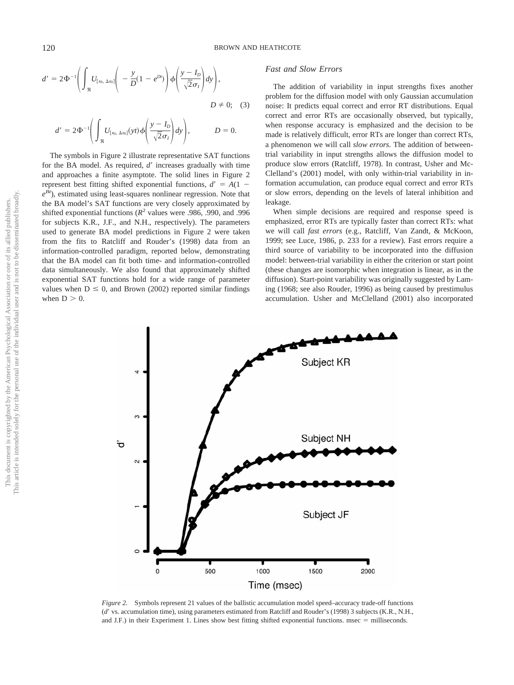$$
d' = 2\Phi^{-1}\left(\int_{\Re} U_{[x_0, \Delta x_0]}\left(-\frac{y}{D}(1-e^{Dt})\right)\phi\left(\frac{y-I_D}{\sqrt{2}\sigma_I}\right)dy\right),
$$
  

$$
D \neq 0; \quad (3)
$$

$$
d' = 2\Phi^{-1}\left(\int_{\Re} U_{[x_0, \Delta x_0]}(y t)\phi\left(\frac{y - I_D}{\sqrt{2}\sigma_I}\right) dy\right), \qquad D = 0.
$$

The symbols in Figure 2 illustrate representative SAT functions for the BA model. As required,  $d'$  increases gradually with time and approaches a finite asymptote. The solid lines in Figure 2 represent best fitting shifted exponential functions,  $d' = A(1$  $e^{Bt}$ ), estimated using least-squares nonlinear regression. Note that the BA model's SAT functions are very closely approximated by shifted exponential functions ( $R^2$  values were .986, .990, and .996 for subjects K.R., J.F., and N.H., respectively). The parameters used to generate BA model predictions in Figure 2 were taken from the fits to Ratcliff and Rouder's (1998) data from an information-controlled paradigm, reported below, demonstrating that the BA model can fit both time- and information-controlled data simultaneously. We also found that approximately shifted exponential SAT functions hold for a wide range of parameter values when  $D \le 0$ , and Brown (2002) reported similar findings when  $D > 0$ .

# *Fast and Slow Errors*

The addition of variability in input strengths fixes another problem for the diffusion model with only Gaussian accumulation noise: It predicts equal correct and error RT distributions. Equal correct and error RTs are occasionally observed, but typically, when response accuracy is emphasized and the decision to be made is relatively difficult, error RTs are longer than correct RTs, a phenomenon we will call *slow errors.* The addition of betweentrial variability in input strengths allows the diffusion model to produce slow errors (Ratcliff, 1978). In contrast, Usher and Mc-Clelland's (2001) model, with only within-trial variability in information accumulation, can produce equal correct and error RTs or slow errors, depending on the levels of lateral inhibition and leakage.

When simple decisions are required and response speed is emphasized, error RTs are typically faster than correct RTs: what we will call *fast errors* (e.g., Ratcliff, Van Zandt, & McKoon, 1999; see Luce, 1986, p. 233 for a review). Fast errors require a third source of variability to be incorporated into the diffusion model: between-trial variability in either the criterion or start point (these changes are isomorphic when integration is linear, as in the diffusion). Start-point variability was originally suggested by Laming (1968; see also Rouder, 1996) as being caused by prestimulus accumulation. Usher and McClelland (2001) also incorporated



*Figure 2.* Symbols represent 21 values of the ballistic accumulation model speed–accuracy trade-off functions (*d'* vs. accumulation time), using parameters estimated from Ratcliff and Rouder's (1998) 3 subjects (K.R., N.H., and J.F.) in their Experiment 1. Lines show best fitting shifted exponential functions. msec = milliseconds.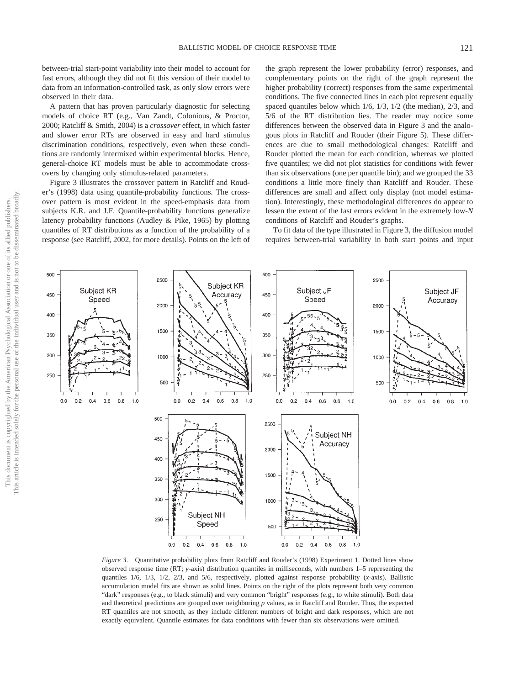between-trial start-point variability into their model to account for fast errors, although they did not fit this version of their model to data from an information-controlled task, as only slow errors were observed in their data.

A pattern that has proven particularly diagnostic for selecting models of choice RT (e.g., Van Zandt, Colonious, & Proctor, 2000; Ratcliff & Smith, 2004) is a *crossover* effect, in which faster and slower error RTs are observed in easy and hard stimulus discrimination conditions, respectively, even when these conditions are randomly intermixed within experimental blocks. Hence, general-choice RT models must be able to accommodate crossovers by changing only stimulus-related parameters.

Figure 3 illustrates the crossover pattern in Ratcliff and Rouder's (1998) data using quantile-probability functions. The crossover pattern is most evident in the speed-emphasis data from subjects K.R. and J.F. Quantile-probability functions generalize latency probability functions (Audley & Pike, 1965) by plotting quantiles of RT distributions as a function of the probability of a response (see Ratcliff, 2002, for more details). Points on the left of

the graph represent the lower probability (error) responses, and complementary points on the right of the graph represent the higher probability (correct) responses from the same experimental conditions. The five connected lines in each plot represent equally spaced quantiles below which 1/6, 1/3, 1/2 (the median), 2/3, and 5/6 of the RT distribution lies. The reader may notice some differences between the observed data in Figure 3 and the analogous plots in Ratcliff and Rouder (their Figure 5). These differences are due to small methodological changes: Ratcliff and Rouder plotted the mean for each condition, whereas we plotted five quantiles; we did not plot statistics for conditions with fewer than six observations (one per quantile bin); and we grouped the 33 conditions a little more finely than Ratcliff and Rouder. These differences are small and affect only display (not model estimation). Interestingly, these methodological differences do appear to lessen the extent of the fast errors evident in the extremely low-*N* conditions of Ratcliff and Rouder's graphs.

To fit data of the type illustrated in Figure 3, the diffusion model requires between-trial variability in both start points and input

 $0.0$  $0.2$  $0.8\,$  $0.8$  $1.0$  $0.4$  0.6  $1.0$  $0.0$  $0.2$  $0.4$  $0.6$ *Figure 3.* Quantitative probability plots from Ratcliff and Rouder's (1998) Experiment 1. Dotted lines show observed response time (RT; *y*-axis) distribution quantiles in milliseconds, with numbers 1–5 representing the quantiles 1/6, 1/3, 1/2, 2/3, and 5/6, respectively, plotted against response probability (*x*-axis). Ballistic accumulation model fits are shown as solid lines. Points on the right of the plots represent both very common "dark" responses (e.g., to black stimuli) and very common "bright" responses (e.g., to white stimuli). Both data and theoretical predictions are grouped over neighboring *p* values, as in Ratcliff and Rouder. Thus, the expected RT quantiles are not smooth, as they include different numbers of bright and dark responses, which are not exactly equivalent. Quantile estimates for data conditions with fewer than six observations were omitted.

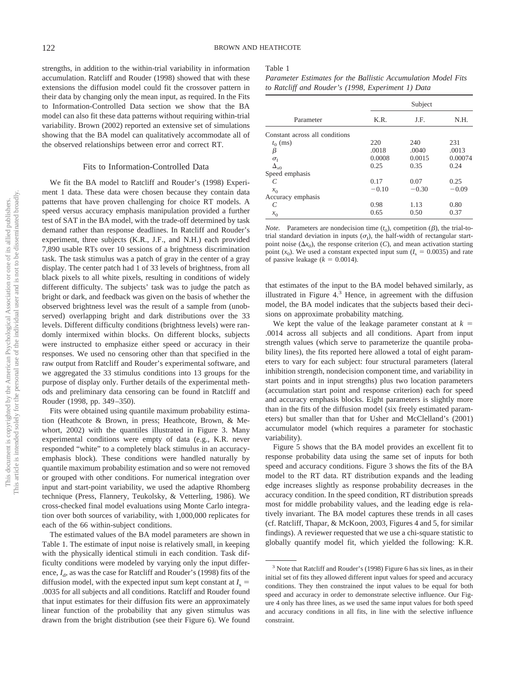strengths, in addition to the within-trial variability in information accumulation. Ratcliff and Rouder (1998) showed that with these extensions the diffusion model could fit the crossover pattern in their data by changing only the mean input, as required. In the Fits to Information-Controlled Data section we show that the BA model can also fit these data patterns without requiring within-trial variability. Brown (2002) reported an extensive set of simulations showing that the BA model can qualitatively accommodate all of the observed relationships between error and correct RT.

### Fits to Information-Controlled Data

We fit the BA model to Ratcliff and Rouder's (1998) Experiment 1 data. These data were chosen because they contain data patterns that have proven challenging for choice RT models. A speed versus accuracy emphasis manipulation provided a further test of SAT in the BA model, with the trade-off determined by task demand rather than response deadlines. In Ratcliff and Rouder's experiment, three subjects (K.R., J.F., and N.H.) each provided 7,890 usable RTs over 10 sessions of a brightness discrimination task. The task stimulus was a patch of gray in the center of a gray display. The center patch had 1 of 33 levels of brightness, from all black pixels to all white pixels, resulting in conditions of widely different difficulty. The subjects' task was to judge the patch as bright or dark, and feedback was given on the basis of whether the observed brightness level was the result of a sample from (unobserved) overlapping bright and dark distributions over the 33 levels. Different difficulty conditions (brightness levels) were randomly intermixed within blocks. On different blocks, subjects were instructed to emphasize either speed or accuracy in their responses. We used no censoring other than that specified in the raw output from Ratcliff and Rouder's experimental software, and we aggregated the 33 stimulus conditions into 13 groups for the purpose of display only. Further details of the experimental methods and preliminary data censoring can be found in Ratcliff and Rouder (1998, pp. 349 –350).

Fits were obtained using quantile maximum probability estimation (Heathcote & Brown, in press; Heathcote, Brown, & Mewhort, 2002) with the quantiles illustrated in Figure 3. Many experimental conditions were empty of data (e.g., K.R. never responded "white" to a completely black stimulus in an accuracyemphasis block). These conditions were handled naturally by quantile maximum probability estimation and so were not removed or grouped with other conditions. For numerical integration over input and start-point variability, we used the adaptive Rhomberg technique (Press, Flannery, Teukolsky, & Vetterling, 1986). We cross-checked final model evaluations using Monte Carlo integration over both sources of variability, with 1,000,000 replicates for each of the 66 within-subject conditions.

The estimated values of the BA model parameters are shown in Table 1. The estimate of input noise is relatively small, in keeping with the physically identical stimuli in each condition. Task difficulty conditions were modeled by varying only the input difference,  $I_{d}$ , as was the case for Ratcliff and Rouder's (1998) fits of the diffusion model, with the expected input sum kept constant at  $I<sub>s</sub>$  = .0035 for all subjects and all conditions. Ratcliff and Rouder found that input estimates for their diffusion fits were an approximately linear function of the probability that any given stimulus was drawn from the bright distribution (see their Figure 6). We found

#### Table 1

*Parameter Estimates for the Ballistic Accumulation Model Fits to Ratcliff and Rouder's (1998, Experiment 1) Data*

| Parameter                      | Subject |         |         |
|--------------------------------|---------|---------|---------|
|                                | K.R.    | J.F.    | N.H.    |
| Constant across all conditions |         |         |         |
| $t_{0}\ (\mathrm{ms})$         | 220     | 240     | 231     |
| β                              | .0018   | .0040   | .0013   |
| $\sigma_{I}$                   | 0.0008  | 0.0015  | 0.00074 |
| $\Delta_{x0}$                  | 0.25    | 0.35    | 0.24    |
| Speed emphasis                 |         |         |         |
| C                              | 0.17    | 0.07    | 0.25    |
| $x_0$                          | $-0.10$ | $-0.30$ | $-0.09$ |
| Accuracy emphasis              |         |         |         |
| C                              | 0.98    | 1.13    | 0.80    |
| $x_0$                          | 0.65    | 0.50    | 0.37    |

*Note.* Parameters are nondecision time  $(t_0)$ , competition  $(\beta)$ , the trial-totrial standard deviation in inputs  $(\sigma_I)$ , the half-width of rectangular startpoint noise  $(\Delta x_0)$ , the response criterion (*C*), and mean activation starting point  $(x_0)$ . We used a constant expected input sum ( $I_s = 0.0035$ ) and rate of passive leakage  $(k = 0.0014)$ .

that estimates of the input to the BA model behaved similarly, as illustrated in Figure  $4.3$  Hence, in agreement with the diffusion model, the BA model indicates that the subjects based their decisions on approximate probability matching.

We kept the value of the leakage parameter constant at  $k =$ .0014 across all subjects and all conditions. Apart from input strength values (which serve to parameterize the quantile probability lines), the fits reported here allowed a total of eight parameters to vary for each subject: four structural parameters (lateral inhibition strength, nondecision component time, and variability in start points and in input strengths) plus two location parameters (accumulation start point and response criterion) each for speed and accuracy emphasis blocks. Eight parameters is slightly more than in the fits of the diffusion model (six freely estimated parameters) but smaller than that for Usher and McClelland's (2001) accumulator model (which requires a parameter for stochastic variability).

Figure 5 shows that the BA model provides an excellent fit to response probability data using the same set of inputs for both speed and accuracy conditions. Figure 3 shows the fits of the BA model to the RT data. RT distribution expands and the leading edge increases slightly as response probability decreases in the accuracy condition. In the speed condition, RT distribution spreads most for middle probability values, and the leading edge is relatively invariant. The BA model captures these trends in all cases (cf. Ratcliff, Thapar, & McKoon, 2003, Figures 4 and 5, for similar findings). A reviewer requested that we use a chi-square statistic to globally quantify model fit, which yielded the following: K.R.

<sup>3</sup> Note that Ratcliff and Rouder's (1998) Figure 6 has six lines, as in their initial set of fits they allowed different input values for speed and accuracy conditions. They then constrained the input values to be equal for both speed and accuracy in order to demonstrate selective influence. Our Figure 4 only has three lines, as we used the same input values for both speed and accuracy conditions in all fits, in line with the selective influence constraint.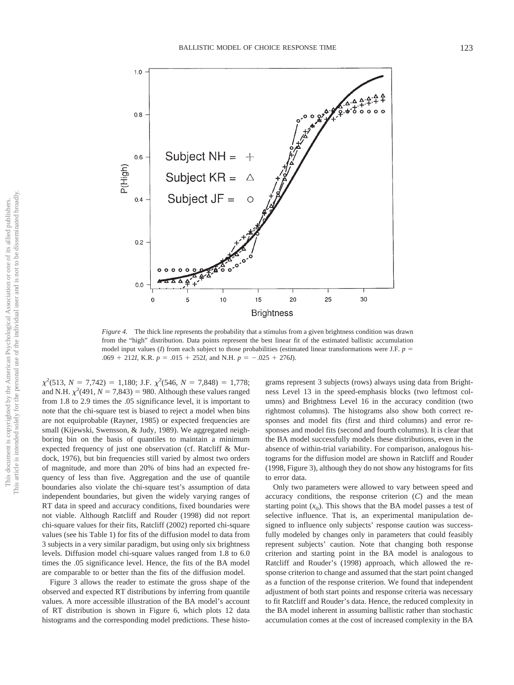

*Figure 4.* The thick line represents the probability that a stimulus from a given brightness condition was drawn from the "high" distribution. Data points represent the best linear fit of the estimated ballistic accumulation model input values (*I*) from each subject to those probabilities (estimated linear transformations were J.F.  $p =$ .069 + 212*I*, K.R.  $p = .015 + 252$ *I*, and N.H.  $p = -.025 + 276$ *I*).

 $\chi^2$ (513, *N* = 7,742) = 1,180; J.F.  $\chi^2$ (546, *N* = 7,848) = 1,778; and N.H.  $\chi^2$ (491, *N* = 7,843) = 980. Although these values ranged from 1.8 to 2.9 times the .05 significance level, it is important to note that the chi-square test is biased to reject a model when bins are not equiprobable (Rayner, 1985) or expected frequencies are small (Kijewski, Swensson, & Judy, 1989). We aggregated neighboring bin on the basis of quantiles to maintain a minimum expected frequency of just one observation (cf. Ratcliff & Murdock, 1976), but bin frequencies still varied by almost two orders of magnitude, and more than 20% of bins had an expected frequency of less than five. Aggregation and the use of quantile boundaries also violate the chi-square test's assumption of data independent boundaries, but given the widely varying ranges of RT data in speed and accuracy conditions, fixed boundaries were not viable. Although Ratcliff and Rouder (1998) did not report chi-square values for their fits, Ratcliff (2002) reported chi-square values (see his Table 1) for fits of the diffusion model to data from 3 subjects in a very similar paradigm, but using only six brightness levels. Diffusion model chi-square values ranged from 1.8 to 6.0 times the .05 significance level. Hence, the fits of the BA model are comparable to or better than the fits of the diffusion model.

Figure 3 allows the reader to estimate the gross shape of the observed and expected RT distributions by inferring from quantile values. A more accessible illustration of the BA model's account of RT distribution is shown in Figure 6, which plots 12 data histograms and the corresponding model predictions. These histograms represent 3 subjects (rows) always using data from Brightness Level 13 in the speed-emphasis blocks (two leftmost columns) and Brightness Level 16 in the accuracy condition (two rightmost columns). The histograms also show both correct responses and model fits (first and third columns) and error responses and model fits (second and fourth columns). It is clear that the BA model successfully models these distributions, even in the absence of within-trial variability. For comparison, analogous histograms for the diffusion model are shown in Ratcliff and Rouder (1998, Figure 3), although they do not show any histograms for fits to error data.

Only two parameters were allowed to vary between speed and accuracy conditions, the response criterion (*C*) and the mean starting point  $(x_0)$ . This shows that the BA model passes a test of selective influence. That is, an experimental manipulation designed to influence only subjects' response caution was successfully modeled by changes only in parameters that could feasibly represent subjects' caution. Note that changing both response criterion and starting point in the BA model is analogous to Ratcliff and Rouder's (1998) approach, which allowed the response criterion to change and assumed that the start point changed as a function of the response criterion. We found that independent adjustment of both start points and response criteria was necessary to fit Ratcliff and Rouder's data. Hence, the reduced complexity in the BA model inherent in assuming ballistic rather than stochastic accumulation comes at the cost of increased complexity in the BA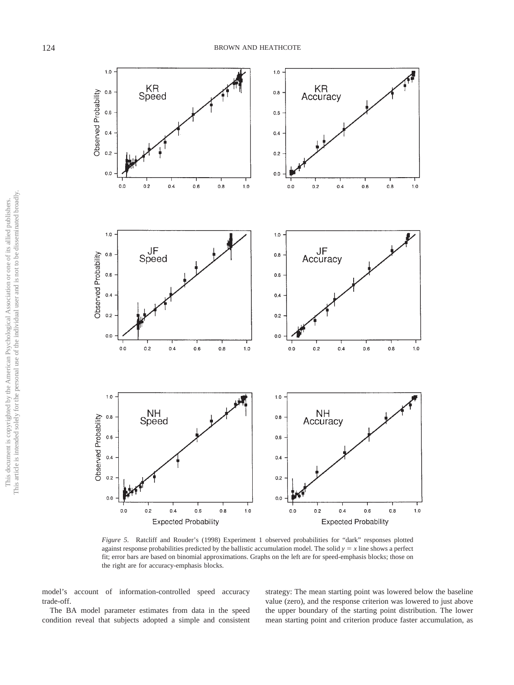

*Figure 5.* Ratcliff and Rouder's (1998) Experiment 1 observed probabilities for "dark" responses plotted against response probabilities predicted by the ballistic accumulation model. The solid  $y = x$  line shows a perfect fit; error bars are based on binomial approximations. Graphs on the left are for speed-emphasis blocks; those on the right are for accuracy-emphasis blocks.

model's account of information-controlled speed accuracy trade-off.

The BA model parameter estimates from data in the speed condition reveal that subjects adopted a simple and consistent strategy: The mean starting point was lowered below the baseline value (zero), and the response criterion was lowered to just above the upper boundary of the starting point distribution. The lower mean starting point and criterion produce faster accumulation, as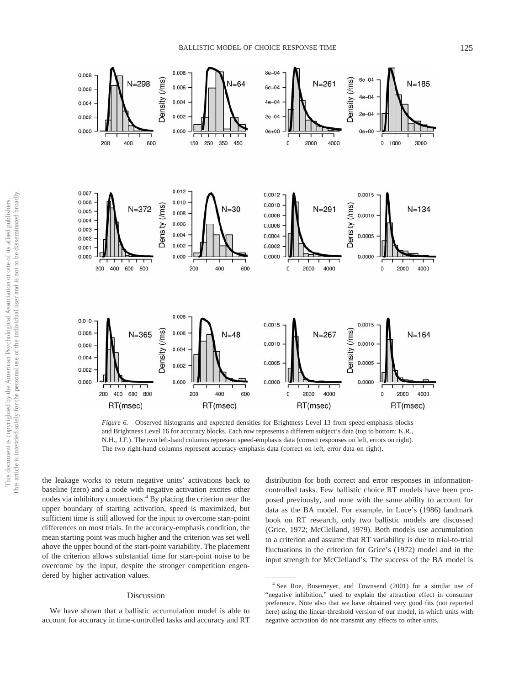

*Figure 6.* Observed histograms and expected densities for Brightness Level 13 from speed-emphasis blocks and Brightness Level 16 for accuracy blocks. Each row represents a different subject's data (top to bottom: K.R., N.H., J.F.). The two left-hand columns represent speed-emphasis data (correct responses on left, errors on right). The two right-hand columns represent accuracy-emphasis data (correct on left, error data on right).

the leakage works to return negative units' activations back to baseline (zero) and a node with negative activation excites other nodes via inhibitory connections.4 By placing the criterion near the upper boundary of starting activation, speed is maximized, but sufficient time is still allowed for the input to overcome start-point differences on most trials. In the accuracy-emphasis condition, the mean starting point was much higher and the criterion was set well above the upper bound of the start-point variability. The placement of the criterion allows substantial time for start-point noise to be overcome by the input, despite the stronger competition engendered by higher activation values.

#### Discussion

We have shown that a ballistic accumulation model is able to account for accuracy in time-controlled tasks and accuracy and RT distribution for both correct and error responses in informationcontrolled tasks. Few ballistic choice RT models have been proposed previously, and none with the same ability to account for data as the BA model. For example, in Luce's (1986) landmark book on RT research, only two ballistic models are discussed (Grice, 1972; McClelland, 1979). Both models use accumulation to a criterion and assume that RT variability is due to trial-to-trial fluctuations in the criterion for Grice's (1972) model and in the input strength for McClelland's. The success of the BA model is

<sup>4</sup> See Roe, Busemeyer, and Townsend (2001) for a similar use of "negative inhibition," used to explain the attraction effect in consumer preference. Note also that we have obtained very good fits (not reported here) using the linear-threshold version of our model, in which units with negative activation do not transmit any effects to other units.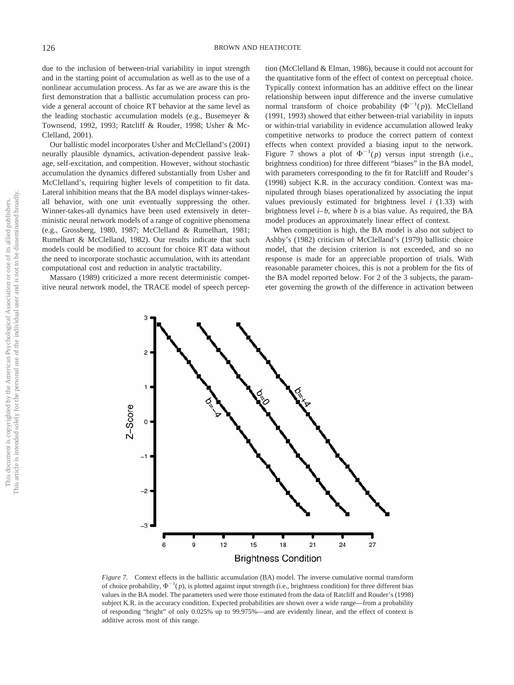due to the inclusion of between-trial variability in input strength and in the starting point of accumulation as well as to the use of a nonlinear accumulation process. As far as we are aware this is the first demonstration that a ballistic accumulation process can provide a general account of choice RT behavior at the same level as the leading stochastic accumulation models (e.g., Busemeyer & Townsend, 1992, 1993; Ratcliff & Rouder, 1998; Usher & Mc-Clelland, 2001).

Our ballistic model incorporates Usher and McClelland's (2001) neurally plausible dynamics, activation-dependent passive leakage, self-excitation, and competition. However, without stochastic accumulation the dynamics differed substantially from Usher and McClelland's, requiring higher levels of competition to fit data. Lateral inhibition means that the BA model displays winner-takesall behavior, with one unit eventually suppressing the other. Winner-takes-all dynamics have been used extensively in deterministic neural network models of a range of cognitive phenomena (e.g., Grossberg, 1980, 1987; McClelland & Rumelhart, 1981; Rumelhart & McClelland, 1982). Our results indicate that such models could be modified to account for choice RT data without the need to incorporate stochastic accumulation, with its attendant computational cost and reduction in analytic tractability.

Massaro (1989) criticized a more recent deterministic competitive neural network model, the TRACE model of speech perception (McClelland & Elman, 1986), because it could not account for the quantitative form of the effect of context on perceptual choice. Typically context information has an additive effect on the linear relationship between input difference and the inverse cumulative normal transform of choice probability  $(\Phi^{-1}(p))$ . McClelland (1991, 1993) showed that either between-trial variability in inputs or within-trial variability in evidence accumulation allowed leaky competitive networks to produce the correct pattern of context effects when context provided a biasing input to the network. Figure 7 shows a plot of  $\Phi^{-1}(p)$  versus input strength (i.e., brightness condition) for three different "biases" in the BA model, with parameters corresponding to the fit for Ratcliff and Rouder's (1998) subject K.R. in the accuracy condition. Context was manipulated through biases operationalized by associating the input values previously estimated for brightness level *i* (1.33) with brightness level  $i-b$ , where  $b$  is a bias value. As required, the BA model produces an approximately linear effect of context.

When competition is high, the BA model is also not subject to Ashby's (1982) criticism of McClelland's (1979) ballistic choice model, that the decision criterion is not exceeded, and so no response is made for an appreciable proportion of trials. With reasonable parameter choices, this is not a problem for the fits of the BA model reported below. For 2 of the 3 subjects, the parameter governing the growth of the difference in activation between



*Figure 7.* Context effects in the ballistic accumulation (BA) model. The inverse cumulative normal transform of choice probability,  $\Phi^{-1}(p)$ , is plotted against input strength (i.e., brightness condition) for three different bias values in the BA model. The parameters used were those estimated from the data of Ratcliff and Rouder's (1998) subject K.R. in the accuracy condition. Expected probabilities are shown over a wide range—from a probability of responding "bright" of only 0.025% up to 99.975%—and are evidently linear, and the effect of context is additive across most of this range.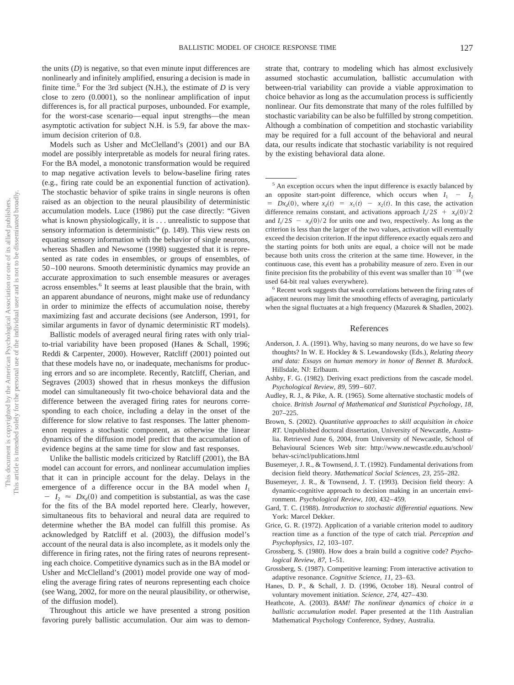the units  $(D)$  is negative, so that even minute input differences are nonlinearly and infinitely amplified, ensuring a decision is made in finite time.<sup>5</sup> For the 3rd subject (N.H.), the estimate of  $D$  is very close to zero (0.0001), so the nonlinear amplification of input differences is, for all practical purposes, unbounded. For example, for the worst-case scenario— equal input strengths—the mean asymptotic activation for subject N.H. is 5.9, far above the maximum decision criterion of 0.8.

Models such as Usher and McClelland's (2001) and our BA model are possibly interpretable as models for neural firing rates. For the BA model, a monotonic transformation would be required to map negative activation levels to below-baseline firing rates (e.g., firing rate could be an exponential function of activation). The stochastic behavior of spike trains in single neurons is often raised as an objection to the neural plausibility of deterministic accumulation models. Luce (1986) put the case directly: "Given what is known physiologically, it is . . . unrealistic to suppose that sensory information is deterministic" (p. 149). This view rests on equating sensory information with the behavior of single neurons, whereas Shadlen and Newsome (1998) suggested that it is represented as rate codes in ensembles, or groups of ensembles, of 50 –100 neurons. Smooth deterministic dynamics may provide an accurate approximation to such ensemble measures or averages across ensembles.<sup>6</sup> It seems at least plausible that the brain, with an apparent abundance of neurons, might make use of redundancy in order to minimize the effects of accumulation noise, thereby maximizing fast and accurate decisions (see Anderson, 1991, for similar arguments in favor of dynamic deterministic RT models).

Ballistic models of averaged neural firing rates with only trialto-trial variability have been proposed (Hanes & Schall, 1996; Reddi & Carpenter, 2000). However, Ratcliff (2001) pointed out that these models have no, or inadequate, mechanisms for producing errors and so are incomplete. Recently, Ratcliff, Cherian, and Segraves (2003) showed that in rhesus monkeys the diffusion model can simultaneously fit two-choice behavioral data and the difference between the averaged firing rates for neurons corresponding to each choice, including a delay in the onset of the difference for slow relative to fast responses. The latter phenomenon requires a stochastic component, as otherwise the linear dynamics of the diffusion model predict that the accumulation of evidence begins at the same time for slow and fast responses.

Unlike the ballistic models criticized by Ratcliff (2001), the BA model can account for errors, and nonlinear accumulation implies that it can in principle account for the delay. Delays in the emergence of a difference occur in the BA model when  $I_1$  $-I_2 \approx Dx_d(0)$  and competition is substantial, as was the case for the fits of the BA model reported here. Clearly, however, simultaneous fits to behavioral and neural data are required to determine whether the BA model can fulfill this promise. As acknowledged by Ratcliff et al. (2003), the diffusion model's account of the neural data is also incomplete, as it models only the difference in firing rates, not the firing rates of neurons representing each choice. Competitive dynamics such as in the BA model or Usher and McClelland's (2001) model provide one way of modeling the average firing rates of neurons representing each choice (see Wang, 2002, for more on the neural plausibility, or otherwise, of the diffusion model).

Throughout this article we have presented a strong position favoring purely ballistic accumulation. Our aim was to demonstrate that, contrary to modeling which has almost exclusively assumed stochastic accumulation, ballistic accumulation with between-trial variability can provide a viable approximation to choice behavior as long as the accumulation process is sufficiently nonlinear. Our fits demonstrate that many of the roles fulfilled by stochastic variability can be also be fulfilled by strong competition. Although a combination of competition and stochastic variability may be required for a full account of the behavioral and neural data, our results indicate that stochastic variability is not required by the existing behavioral data alone.

<sup>5</sup> An exception occurs when the input difference is exactly balanced by an opposite start-point difference, which occurs when  $I_1 - I_2$  $Dx_d(0)$ , where  $x_d(t) = x_1(t) - x_2(t)$ . In this case, the activation difference remains constant, and activations approach  $I_s/2S + x_d(0)/2$ and  $I_s/2S - x_d(0)/2$  for units one and two, respectively. As long as the criterion is less than the larger of the two values, activation will eventually exceed the decision criterion. If the input difference exactly equals zero and the starting points for both units are equal, a choice will not be made because both units cross the criterion at the same time. However, in the continuous case, this event has a probability measure of zero. Even in our finite precision fits the probability of this event was smaller than  $10^{-18}$  (we used 64-bit real values everywhere).

<sup>6</sup> Recent work suggests that weak correlations between the firing rates of adjacent neurons may limit the smoothing effects of averaging, particularly when the signal fluctuates at a high frequency (Mazurek & Shadlen, 2002).

# References

- Anderson, J. A. (1991). Why, having so many neurons, do we have so few thoughts? In W. E. Hockley & S. Lewandowsky (Eds.), *Relating theory and data: Essays on human memory in honor of Bennet B. Murdock.* Hillsdale, NJ: Erlbaum.
- Ashby, F. G. (1982). Deriving exact predictions from the cascade model. *Psychological Review, 89,* 599 – 607.
- Audley, R. J., & Pike, A. R. (1965). Some alternative stochastic models of choice. *British Journal of Mathematical and Statistical Psychology, 18,* 207–225.
- Brown, S. (2002). *Quantitative approaches to skill acquisition in choice RT.* Unpublished doctoral dissertation, University of Newcastle, Australia. Retrieved June 6, 2004, from University of Newcastle, School of Behavioural Sciences Web site: http://www.newcastle.edu.au/school/ behav-sci/ncl/publications.html
- Busemeyer, J. R., & Townsend, J. T. (1992). Fundamental derivations from decision field theory. *Mathematical Social Sciences, 23,* 255–282.
- Busemeyer, J. R., & Townsend, J. T. (1993). Decision field theory: A dynamic-cognitive approach to decision making in an uncertain environment. *Psychological Review, 100,* 432– 459.
- Gard, T. C. (1988). *Introduction to stochastic differential equations.* New York: Marcel Dekker.
- Grice, G. R. (1972). Application of a variable criterion model to auditory reaction time as a function of the type of catch trial. *Perception and Psychophysics, 12,* 103–107.
- Grossberg, S. (1980). How does a brain build a cognitive code? *Psychological Review, 87,* 1–51.
- Grossberg, S. (1987). Competitive learning: From interactive activation to adaptive resonance. *Cognitive Science*, 11, 23-63.
- Hanes, D. P., & Schall, J. D. (1996, October 18). Neural control of voluntary movement initiation. *Science, 274,* 427– 430.
- Heathcote, A. (2003). *BAM! The nonlinear dynamics of choice in a ballistic accumulation model.* Paper presented at the 11th Australian Mathematical Psychology Conference, Sydney, Australia.